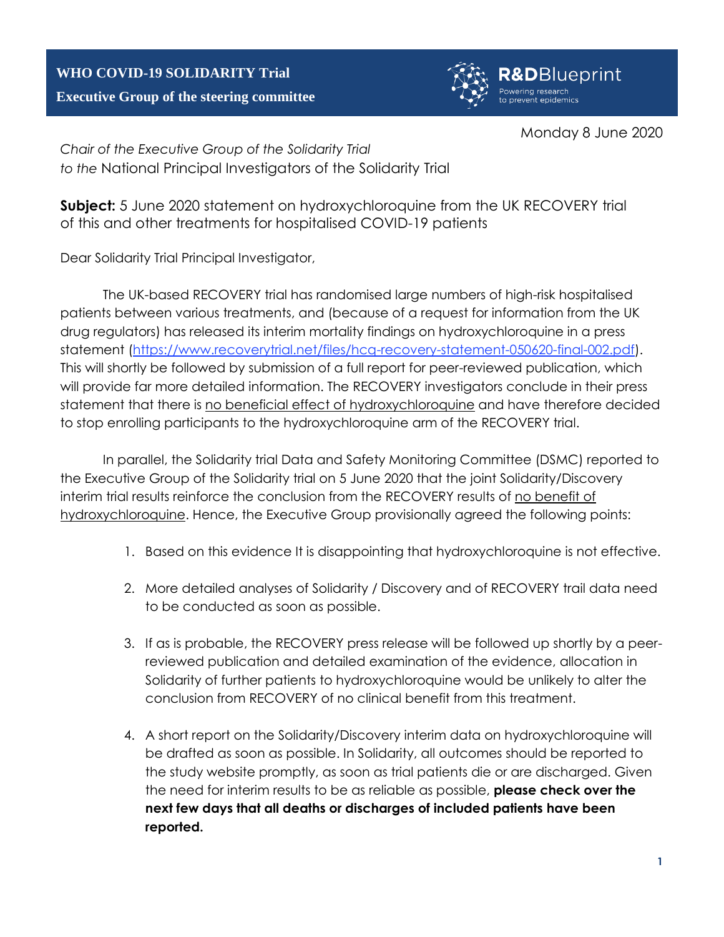## **WHO COVID-19 SOLIDARITY Trial Executive Group of the steering committee**



Monday 8 June 2020

*Chair of the Executive Group of the Solidarity Trial to the* National Principal Investigators of the Solidarity Trial

**Subject:** 5 June 2020 statement on hydroxychloroquine from the UK RECOVERY trial of this and other treatments for hospitalised COVID-19 patients

Dear Solidarity Trial Principal Investigator,

The UK-based RECOVERY trial has randomised large numbers of high-risk hospitalised patients between various treatments, and (because of a request for information from the UK drug regulators) has released its interim mortality findings on hydroxychloroquine in a press statement [\(https://www.recoverytrial.net/files/hcq-recovery-statement-050620-final-002.pdf\)](https://www.recoverytrial.net/files/hcq-recovery-statement-050620-final-002.pdf). This will shortly be followed by submission of a full report for peer-reviewed publication, which will provide far more detailed information. The RECOVERY investigators conclude in their press statement that there is no beneficial effect of hydroxychloroquine and have therefore decided to stop enrolling participants to the hydroxychloroquine arm of the RECOVERY trial.

In parallel, the Solidarity trial Data and Safety Monitoring Committee (DSMC) reported to the Executive Group of the Solidarity trial on 5 June 2020 that the joint Solidarity/Discovery interim trial results reinforce the conclusion from the RECOVERY results of no benefit of hydroxychloroquine. Hence, the Executive Group provisionally agreed the following points:

- 1. Based on this evidence It is disappointing that hydroxychloroquine is not effective.
- 2. More detailed analyses of Solidarity / Discovery and of RECOVERY trail data need to be conducted as soon as possible.
- 3. If as is probable, the RECOVERY press release will be followed up shortly by a peerreviewed publication and detailed examination of the evidence, allocation in Solidarity of further patients to hydroxychloroquine would be unlikely to alter the conclusion from RECOVERY of no clinical benefit from this treatment.
- 4. A short report on the Solidarity/Discovery interim data on hydroxychloroquine will be drafted as soon as possible. In Solidarity, all outcomes should be reported to the study website promptly, as soon as trial patients die or are discharged. Given the need for interim results to be as reliable as possible, **please check over the next few days that all deaths or discharges of included patients have been reported.**